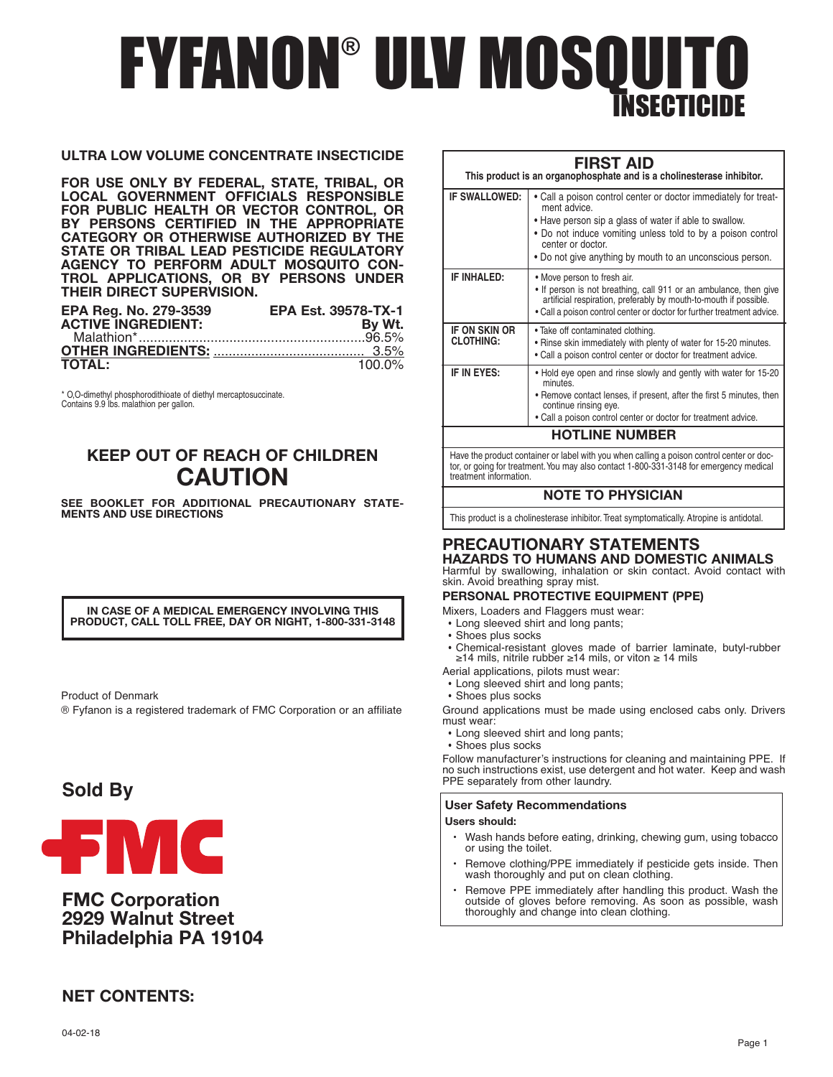# FYFANON® ULV MOSQUITO ISECTICI

### **ULTRA LOW VOLUME CONCENTRATE INSECTICIDE**

**FOR USE ONLY BY FEDERAL, STATE, TRIBAL, OR LOCAL GOVERNMENT OFFICIALS RESPONSIBLE FOR PUBLIC HEALTH OR VECTOR CONTROL, OR BY PERSONS CERTIFIED IN THE APPROPRIATE CATEGORY OR OTHERWISE AUTHORIZED BY THE STATE OR TRIBAL LEAD PESTICIDE REGULATORY AGENCY TO PERFORM ADULT MOSQUITO CON-TROL APPLICATIONS, OR BY PERSONS UNDER THEIR DIRECT SUPERVISION.**

| <b>EPA Reg. No. 279-3539</b> | <b>EPA Est. 39578-TX-1</b> |
|------------------------------|----------------------------|
| <b>ACTIVE INGREDIENT:</b>    | By Wt.                     |
|                              |                            |
|                              |                            |
| <b>TOTAL:</b>                | $100.0\%$                  |

\* O,O-dimethyl phosphorodithioate of diethyl mercaptosuccinate. Contains 9.9 lbs. malathion per gallon.

# **KEEP OUT OF REACH OF CHILDREN CAUTION**

**SEE BOOKLET FOR ADDITIONAL PRECAUTIONARY STATE-MENTS AND USE DIRECTIONS**

**IN CASE OF A MEDICAL EMERGENCY INVOLVING THIS PRODUCT, CALL TOLL FREE, DAY OR NIGHT, 1-800-331-3148**

Product of Denmark

® Fyfanon is a registered trademark of FMC Corporation or an affiliate

# **Sold By**



## **FMC Corporation 2929 Walnut Street Philadelphia PA 19104**

# **NET CONTENTS:**

| <b>FIRST AID</b><br>This product is an organophosphate and is a cholinesterase inhibitor. |                                                                                                                                                                                                                                                                                            |  |  |
|-------------------------------------------------------------------------------------------|--------------------------------------------------------------------------------------------------------------------------------------------------------------------------------------------------------------------------------------------------------------------------------------------|--|--|
| IF SWALLOWED:                                                                             | • Call a poison control center or doctor immediately for treat-<br>ment advice.<br>• Have person sip a glass of water if able to swallow.<br>• Do not induce vomiting unless told to by a poison control<br>center or doctor.<br>• Do not give anything by mouth to an unconscious person. |  |  |
| <b>IF INHALED:</b>                                                                        | • Move person to fresh air.<br>. If person is not breathing, call 911 or an ambulance, then give<br>artificial respiration, preferably by mouth-to-mouth if possible.<br>• Call a poison control center or doctor for further treatment advice.                                            |  |  |
| <b>IF ON SKIN OR</b><br><b>CLOTHING:</b>                                                  | . Take off contaminated clothing.<br>. Rinse skin immediately with plenty of water for 15-20 minutes.<br>. Call a poison control center or doctor for treatment advice.                                                                                                                    |  |  |
| IF IN EYES:                                                                               | • Hold eye open and rinse slowly and gently with water for 15-20<br>minutes<br>• Remove contact lenses, if present, after the first 5 minutes, then<br>continue rinsing eye.<br>. Call a poison control center or doctor for treatment advice.                                             |  |  |
|                                                                                           | <b>HOTLINE NUMBER</b>                                                                                                                                                                                                                                                                      |  |  |

Have the product container or label with you when calling <sup>a</sup> poison control center or doc- tor, or going for treatment.You may also contact 1-800-331-3148 for emergency medical treatment information.

### **NOTE TO PHYSICIAN**

This product is a cholinesterase inhibitor. Treat symptomatically. Atropine is antidotal.

### **PRECAUTIONARY STATEMENTS HAZARDS TO HUMANS AND DOMESTIC ANIMALS**

Harmful by swallowing, inhalation or skin contact. Avoid contact with skin. Avoid breathing spray mist.

### **PERSONAL PROTECTIVE EQUIPMENT (PPE)**

Mixers, Loaders and Flaggers must wear:

- Long sleeved shirt and long pants;
- Shoes plus socks
- Chemical-resistant gloves made of barrier laminate, butyl-rubber ≥14 mils, nitrile rubber ≥14 mils, or viton <sup>≥</sup> <sup>14</sup> mils
- Aerial applications, pilots must wear:
	- Long sleeved shirt and long pants;
	- Shoes plus socks

Ground applications must be made using enclosed cabs only. Drivers must wear:

• Long sleeved shirt and long pants;

• Shoes plus socks

Follow manufacturer's instructions for cleaning and maintaining PPE. If no such instructions exist, use detergent and hot water. Keep and wash PPE separately from other laundry.

### **User Safety Recommendations**

#### **Users should:**

- Wash hands before eating, drinking, chewing gum, using tobacco or using the toilet.
- Remove clothing/PPE immediately if pesticide gets inside. Then wash thoroughly and put on clean clothing.
- Remove PPE immediately after handling this product. Wash the outside of gloves before removing. As soon as possible, wash thoroughly and change into clean clothing.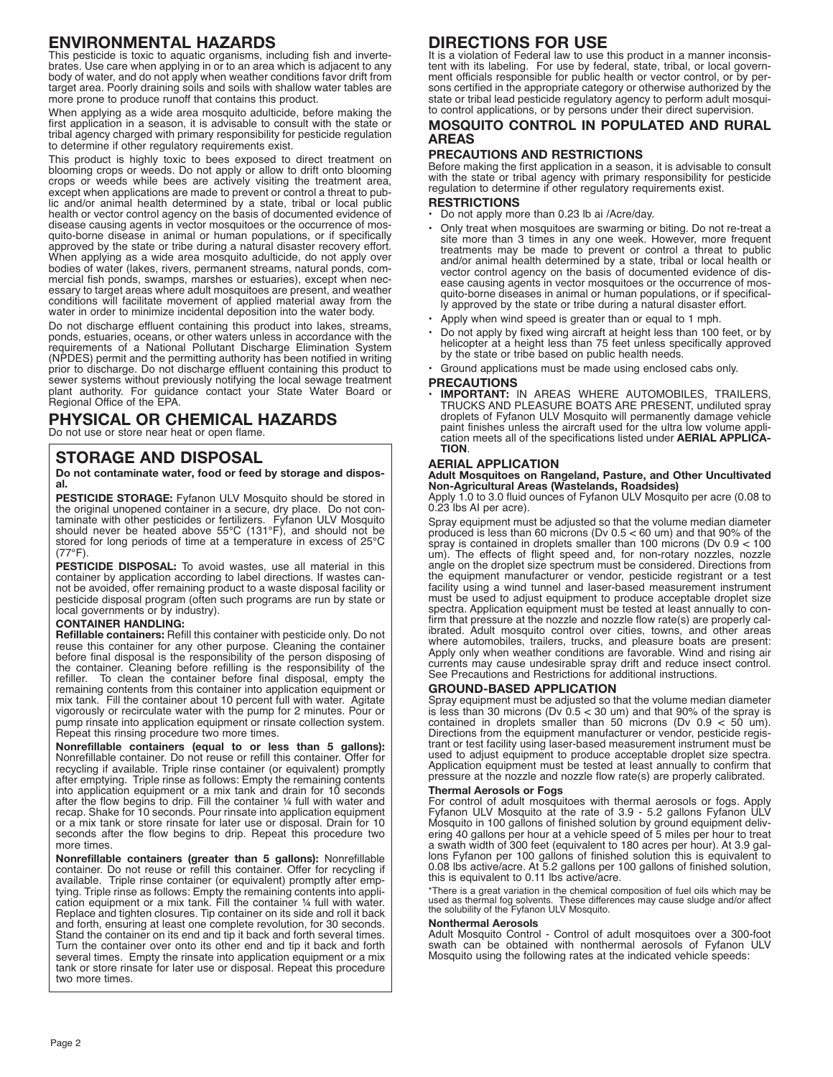### **ENVIRONMENTAL HAZARDS**

This pesticide is toxic to aquatic organisms, including fish and invertebrates. Use care when applying in or to an area which is adjacent to any body of water, and do not apply when weather conditions favor drift from target area. Poorly draining soils and soils with shallow water tables are more prone to produce runoff that contains this product.

When applying as a wide area mosquito adulticide, before making the first application in a season, it is advisable to consult with the state or tribal agency charged with primary responsibility for pesticide regulation to determine if other regulatory requirements exist.

This product is highly toxic to bees exposed to direct treatment on blooming crops or weeds. Do not apply or allow to drift onto blooming crops or weeds while bees are actively visiting the treatment area, except when applications are made to prevent or control a threat to public and/or animal health determined by a state, tribal or local public health or vector control agency on the basis of documented evidence of disease causing agents in vector mosquitoes or the occurrence of mosquito-borne disease in animal or human populations, or if specifically approved by the state or tribe during a natural disaster recovery effort. When applying as a wide area mosquito adulticide, do not apply over bodies of water (lakes, rivers, permanent streams, natural ponds, commercial fish ponds, swamps, marshes or estuaries), except when necessary to target areas where adult mosquitoes are present, and weather conditions will facilitate movement of applied material away from the water in order to minimize incidental deposition into the water body.

Do not discharge effluent containing this product into lakes, streams, ponds, estuaries, oceans, or other waters unless in accordance with the requirements of a National Pollutant Discharge Elimination System (NPDES) permit and the permitting authority has been notified in writing prior to discharge. Do not discharge effluent containing this product to sewer systems without previously notifying the local sewage treatment plant authority. For guidance contact your State Water Board or Regional Office of the EPA.

## **PHYSICAL OR CHEMICAL HAZARDS**

Do not use or store near heat or open flame.

### **STORAGE AND DISPOSAL**

**Do not contaminate water, food or feed by storage and disposal.**

**PESTICIDE STORAGE:** Fyfanon ULV Mosquito should be stored in the original unopened container in a secure, dry place. Do not contaminate with other pesticides or fertilizers. Fyfanon ULV Mosquito should never be heated above 55°C (131°F), and should not be stored for long periods of time at a temperature in excess of 25°C  $(77°F)$ 

**PESTICIDE DISPOSAL:** To avoid wastes, use all material in this container by application according to label directions. If wastes cannot be avoided, offer remaining product to a waste disposal facility or pesticide disposal program (often such programs are run by state or local governments or by industry).

#### **CONTAINER HANDLING:**

**Refillable containers:** Refill this container with pesticide only. Do not reuse this container for any other purpose. Cleaning the container before final disposal is the responsibility of the person disposing of the container. Cleaning before refilling is the responsibility of the refiller. To clean the container before final disposal, empty the remaining contents from this container into application equipment or mix tank. Fill the container about 10 percent full with water. Agitate vigorously or recirculate water with the pump for 2 minutes. Pour or pump rinsate into application equipment or rinsate collection system. Repeat this rinsing procedure two more times.

**Nonrefillable containers (equal to or less than 5 gallons):** Nonrefillable container. Do not reuse or refill this container. Offer for recycling if available. Triple rinse container (or equivalent) promptly after emptying. Triple rinse as follows: Empty the remaining contents into application equipment or a mix tank and drain for 10 seconds after the flow begins to drip. Fill the container ¼ full with water and recap. Shake for 10 seconds. Pour rinsate into application equipment or a mix tank or store rinsate for later use or disposal. Drain for 10 seconds after the flow begins to drip. Repeat this procedure two more times.

**Nonrefillable containers (greater than 5 gallons):** Nonrefillable container. Do not reuse or refill this container. Offer for recycling if available. Triple rinse container (or equivalent) promptly after emptying. Triple rinse as follows: Empty the remaining contents into application equipment or a mix tank. Fill the container ¼ full with water. Replace and tighten closures. Tip container on its side and roll it back and forth, ensuring at least one complete revolution, for 30 seconds. Stand the container on its end and tip it back and forth several times. Turn the container over onto its other end and tip it back and forth several times. Empty the rinsate into application equipment or a mix tank or store rinsate for later use or disposal. Repeat this procedure two more times.

# **DIRECTIONS FOR USE**

It is a violation of Federal law to use this product in a manner inconsistent with its labeling. For use by federal, state, tribal, or local government officials responsible for public health or vector control, or by persons certified in the appropriate category or otherwise authorized by the state or tribal lead pesticide regulatory agency to perform adult mosquito control applications, or by persons under their direct supervision.

### **MOSQUITO CONTROL IN POPULATED AND RURAL AREAS**

### **PRECAUTIONS AND RESTRICTIONS**

Before making the first application in a season, it is advisable to consult with the state or tribal agency with primary responsibility for pesticide regulation to determine if other regulatory requirements exist.

### **RESTRICTIONS**

- Do not apply more than 0.23 lb ai /Acre/day.
- Only treat when mosquitoes are swarming or biting. Do not re-treat a site more than 3 times in any one week. However, more frequent treatments may be made to prevent or control a threat to public and/or animal health determined by a state, tribal or local health or vector control agency on the basis of documented evidence of disease causing agents in vector mosquitoes or the occurrence of mosquito-borne diseases in animal or human populations, or if specifically approved by the state or tribe during a natural disaster effort.
- Apply when wind speed is greater than or equal to 1 mph.
- Do not apply by fixed wing aircraft at height less than 100 feet, or by helicopter at a height less than 75 feet unless specifically approved by the state or tribe based on public health needs.
- Ground applications must be made using enclosed cabs only.

### **PRECAUTIONS**

• **IMPORTANT:** lN AREAS WHERE AUTOMOBILES, TRAILERS, TRUCKS AND PLEASURE BOATS ARE PRESENT, undiluted spray droplets of Fyfanon ULV Mosquito will permanently damage vehicle paint finishes unless the aircraft used for the ultra low volume application meets all of the specifications listed under **AERIAL APPLICA-TION**.

### **AERIAL APPLICATION**

**Adult Mosquitoes on Rangeland, Pasture, and Other Uncultivated Non-Agricultural Areas (Wastelands, Roadsides)**

Apply 1.0 to 3.0 fluid ounces of Fyfanon ULV Mosquito per acre (0.08 to 0.23 lbs AI per acre).

Spray equipment must be adjusted so that the volume median diameter produced is less than 60 microns (Dv 0.5 < 60 um) and that 90% of the spray is contained in droplets smaller than 100 microns (Dv 0.9 < 100 um). The effects of flight speed and, for non-rotary nozzles, nozzle angle on the droplet size spectrum must be considered. Directions from the equipment manufacturer or vendor, pesticide registrant or a test facility using a wind tunnel and laser-based measurement instrument must be used to adjust equipment to produce acceptable droplet size spectra. Application equipment must be tested at least annually to confirm that pressure at the nozzle and nozzle flow rate(s) are properly calibrated. Adult mosquito control over cities, towns, and other areas where automobiles, trailers, trucks, and pleasure boats are present: Apply only when weather conditions are favorable. Wind and rising air currents may cause undesirable spray drift and reduce insect control. See Precautions and Restrictions for additional instructions.

#### **GROUND-BASED APPLICATION**

Spray equipment must be adjusted so that the volume median diameter is less than 30 microns (Dv 0.5 < 30 um) and that 90% of the spray is contained in droplets smaller than 50 microns (Dv 0.9 < 50 um). Directions from the equipment manufacturer or vendor, pesticide registrant or test facility using laser-based measurement instrument must be used to adjust equipment to produce acceptable droplet size spectra. Application equipment must be tested at least annually to confirm that pressure at the nozzle and nozzle flow rate(s) are properly calibrated.

#### **Thermal Aerosols or Fogs**

For control of adult mosquitoes with thermal aerosols or fogs. Apply Fyfanon ULV Mosquito at the rate of 3.9 - 5.2 gallons Fyfanon ULV Mosquito in 100 gallons of finished solution by ground equipment delivering 40 gallons per hour at a vehicle speed of 5 miles per hour to treat a swath width of 300 feet (equivalent to 180 acres per hour). At 3.9 gallons Fyfanon per 100 gallons of finished solution this is equivalent to 0.08 lbs active/acre. At 5.2 gallons per 100 gallons of finished solution, this is equivalent to 0.11 lbs active/acre.<br>\*There is a great variation in the chemical composition of fuel oils which may be

\*There is a great variation in the chemical composition of fuel oils which may be<br>used as thermal fog solvents. These differences may cause sludge and/or affect<br>the solubility of the Fyfanon ULV Mosquito.

#### **Nonthermal Aerosols**

Adult Mosquito Control - Control of adult mosquitoes over a 300-foot swath can be obtained with nonthermal aerosols of Fyfanon ULV Mosquito using the following rates at the indicated vehicle speeds: